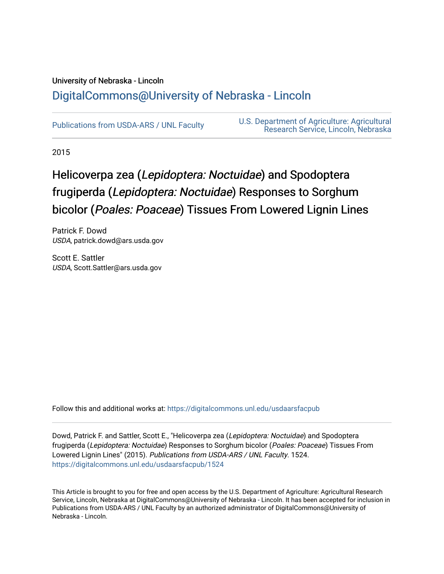# University of Nebraska - Lincoln [DigitalCommons@University of Nebraska - Lincoln](https://digitalcommons.unl.edu/)

[Publications from USDA-ARS / UNL Faculty](https://digitalcommons.unl.edu/usdaarsfacpub) [U.S. Department of Agriculture: Agricultural](https://digitalcommons.unl.edu/usdaars)  [Research Service, Lincoln, Nebraska](https://digitalcommons.unl.edu/usdaars) 

2015

# Helicoverpa zea (Lepidoptera: Noctuidae) and Spodoptera frugiperda (Lepidoptera: Noctuidae) Responses to Sorghum bicolor (Poales: Poaceae) Tissues From Lowered Lignin Lines

Patrick F. Dowd USDA, patrick.dowd@ars.usda.gov

Scott E. Sattler USDA, Scott.Sattler@ars.usda.gov

Follow this and additional works at: [https://digitalcommons.unl.edu/usdaarsfacpub](https://digitalcommons.unl.edu/usdaarsfacpub?utm_source=digitalcommons.unl.edu%2Fusdaarsfacpub%2F1524&utm_medium=PDF&utm_campaign=PDFCoverPages)

Dowd, Patrick F. and Sattler, Scott E., "Helicoverpa zea (Lepidoptera: Noctuidae) and Spodoptera frugiperda (Lepidoptera: Noctuidae) Responses to Sorghum bicolor (Poales: Poaceae) Tissues From Lowered Lignin Lines" (2015). Publications from USDA-ARS / UNL Faculty. 1524. [https://digitalcommons.unl.edu/usdaarsfacpub/1524](https://digitalcommons.unl.edu/usdaarsfacpub/1524?utm_source=digitalcommons.unl.edu%2Fusdaarsfacpub%2F1524&utm_medium=PDF&utm_campaign=PDFCoverPages) 

This Article is brought to you for free and open access by the U.S. Department of Agriculture: Agricultural Research Service, Lincoln, Nebraska at DigitalCommons@University of Nebraska - Lincoln. It has been accepted for inclusion in Publications from USDA-ARS / UNL Faculty by an authorized administrator of DigitalCommons@University of Nebraska - Lincoln.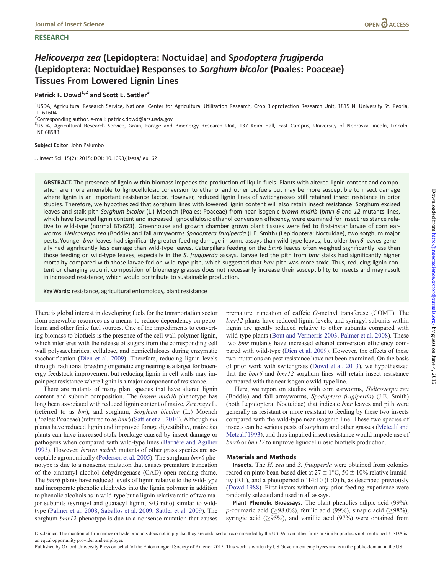# **RESEARCH**

# Helicoverpa zea (Lepidoptera: Noctuidae) and Spodoptera frugiperda (Lepidoptera: Noctuidae) Responses to Sorghum bicolor (Poales: Poaceae) Tissues From Lowered Lignin Lines

# Patrick F. Dowd $^{1,2}$  and Scott E. Sattler<sup>3</sup>

<sup>1</sup>USDA, Agricultural Research Service, National Center for Agricultural Utilization Research, Crop Bioprotection Research Unit, 1815 N. University St. Peoria, IL 61604

 $2$ Corresponding author, e-mail: patrick.dowd@ars.usda.gov

<sup>3</sup>USDA, Agricultural Research Service, Grain, Forage and Bioenergy Research Unit, 137 Keim Hall, East Campus, University of Nebraska-Lincoln, Lincoln, NE 68583

#### Subject Editor: John Palumbo

J. Insect Sci. 15(2): 2015; DOI: 10.1093/jisesa/ieu162

ABSTRACT. The presence of lignin within biomass impedes the production of liquid fuels. Plants with altered lignin content and composition are more amenable to lignocellulosic conversion to ethanol and other biofuels but may be more susceptible to insect damage where lignin is an important resistance factor. However, reduced lignin lines of switchgrasses still retained insect resistance in prior studies. Therefore, we hypothesized that sorghum lines with lowered lignin content will also retain insect resistance. Sorghum excised leaves and stalk pith Sorghum bicolor (L.) Moench (Poales: Poaceae) from near isogenic brown midrib (bmr) 6 and 12 mutants lines, which have lowered lignin content and increased lignocellulosic ethanol conversion efficiency, were examined for insect resistance relative to wild-type (normal BTx623). Greenhouse and growth chamber grown plant tissues were fed to first-instar larvae of corn earworms, Helicoverpa zea (Boddie) and fall armyworms Spodoptera frugiperda (J.E. Smith) (Lepidoptera: Noctuidae), two sorghum major pests. Younger bmr leaves had significantly greater feeding damage in some assays than wild-type leaves, but older bmr6 leaves generally had significantly less damage than wild-type leaves. Caterpillars feeding on the bmr6 leaves often weighed significantly less than those feeding on wild-type leaves, especially in the S. frugiperda assays. Larvae fed the pith from bmr stalks had significantly higher mortality compared with those larvae fed on wild-type pith, which suggested that bmr pith was more toxic. Thus, reducing lignin content or changing subunit composition of bioenergy grasses does not necessarily increase their susceptibility to insects and may result in increased resistance, which would contribute to sustainable production.

Key Words: resistance, agricultural entomology, plant resistance

There is global interest in developing fuels for the transportation sector from renewable resources as a means to reduce dependency on petroleum and other finite fuel sources. One of the impediments to converting biomass to biofuels is the presence of the cell wall polymer lignin, which interferes with the release of sugars from the corresponding cell wall polysaccharides, cellulose, and hemicelluloses during enzymatic saccharification [\(Dien et al. 2009](#page-5-0)). Therefore, reducing lignin levels through traditional breeding or genetic engineering is a target for bioenergy feedstock improvement but reducing lignin in cell walls may impair pest resistance where lignin is a major component of resistance.

There are mutants of many plant species that have altered lignin content and subunit composition. The *brown midrib* phenotype has long been associated with reduced lignin content of maize, Zea mays L. (referred to as bm), and sorghum, Sorghum bicolor (L.) Moench (Poales: Poaceae) (referred to as bmr) ([Sattler et al. 2010](#page-5-0)). Although bm plants have reduced lignin and improved forage digestibility, maize bm plants can have increased stalk breakage caused by insect damage or pathogens when compared with wild-type lines (Barriére and Agillier [1993\)](#page-5-0). However, brown midrib mutants of other grass species are acceptable agronomically ([Pedersen et al. 2005](#page-5-0)). The sorghum bmr6 phenotype is due to a nonsense mutation that causes premature truncation of the cinnamyl alcohol dehydrogenase (CAD) open reading frame. The *bmr6* plants have reduced levels of lignin relative to the wild-type and incorporate phenolic aldehydes into the lignin polymer in addition to phenolic alcohols as in wild-type but a lignin relative ratio of two major subunits (syringyl and guaiacyl lignin; S/G ratio) similar to wildtype ([Palmer et al. 2008](#page-5-0), [Saballos et al. 2009](#page-5-0), [Sattler et al. 2009](#page-5-0)). The sorghum  $bm12$  phenotype is due to a nonsense mutation that causes

premature truncation of caffeic O-methyl transferase (COMT). The bmr12 plants have reduced lignin levels, and syringyl subunits within lignin are greatly reduced relative to other subunits compared with wild-type plants ([Bout and Vermerris 2003](#page-5-0), [Palmer et al. 2008](#page-5-0)). These two bmr mutants have increased ethanol conversion efficiency compared with wild-type ([Dien et al. 2009\)](#page-5-0). However, the effects of these two mutations on pest resistance have not been examined. On the basis of prior work with switchgrass ([Dowd et al. 2013](#page-5-0)), we hypothesized that the bmr6 and bmr12 sorghum lines will retain insect resistance compared with the near isogenic wild-type line.

Here, we report on studies with corn earworms, Helicoverpa zea (Boddie) and fall armyworms, Spodoptera frugiperda) (J.E. Smith) (both Lepidoptera: Noctuidae) that indicate bmr leaves and pith were generally as resistant or more resistant to feeding by these two insects compared with the wild-type near isogenic line. These two species of insects can be serious pests of sorghum and other grasses [\(Metcalf and](#page-5-0) [Metcalf 1993](#page-5-0)), and thus impaired insect resistance would impede use of bmr6 or bmr12 to improve lignocellulosic biofuels production.

#### Materials and Methods

Insects. The H. zea and S. frugiperda were obtained from colonies reared on pinto bean-based diet at  $27 \pm 1$ °C,  $50 \pm 10$ % relative humidity (RH), and a photoperiod of 14:10 (L:D) h, as described previously ([Dowd 1988\)](#page-5-0). First instars without any prior feeding experience were randomly selected and used in all assays.

Plant Phenolic Bioassays. The plant phenolics adipic acid (99%), *p*-coumaric acid ( $\geq$ 98.0%), ferulic acid (99%), sinapic acid ( $\geq$ 98%), syringic acid ( $\geq$ 95%), and vanillic acid (97%) were obtained from

Disclaimer: The mention of firm names or trade products does not imply that they are endorsed or recommended by the USDA over other firms or similar products not mentioned. USDA is an equal opportunity provider and employer.

Published by Oxford University Press on behalf of the Entomological Society of America 2015. This work is written by US Government employees and is in the public domain in the US.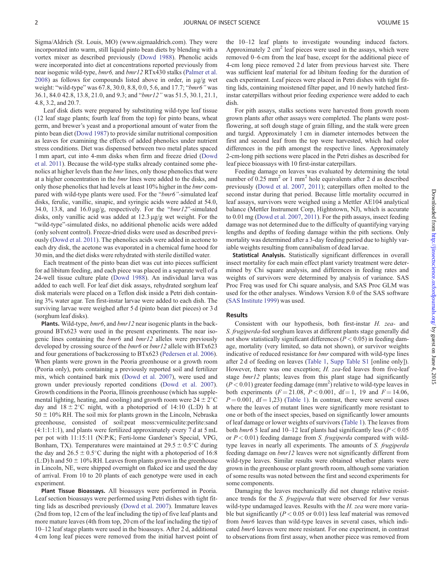Sigma/Aldrich (St. Louis, MO) [\(www.sigmaaldrich.com\)](www.sigmaaldrich.com). They were incorporated into warm, still liquid pinto bean diets by blending with a vortex mixer as described previously [\(Dowd 1988](#page-5-0)). Phenolic acids were incorporated into diet at concentrations reported previously from near isogenic wild-type, bmr6, and bmr12 RTx430 stalks ([Palmer et al.](#page-5-0)  $2008$ ) as follows for compounds listed above in order, in  $\mu$ g/g wet weight: "wild-type" was 67.8, 30.0, 8.8, 0.0, 5.6, and 17.7; "bmr6" was 36.1, 84.0 42.8, 13.8, 21.0, and 9.3; and "bmr12" was 51.5, 30.1, 21.1, 4.8, 3.2, and 20.7.

Leaf disk diets were prepared by substituting wild-type leaf tissue (12 leaf stage plants; fourth leaf from the top) for pinto beans, wheat germ, and brewer's yeast and a proportional amount of water from the pinto bean diet [\(Dowd 1987](#page-5-0)) to provide similar nutritional composition as leaves for examining the effects of added phenolics under nutrient stress conditions. Diet was dispensed between two metal plates spaced 1 mm apart, cut into 4-mm disks when firm and freeze dried [\(Dowd](#page-5-0) [et al. 2011](#page-5-0)). Because the wild-type stalks already contained some phenolics at higher levels than the *bmr* lines, only those phenolics that were at a higher concentration in the bmr lines were added to the disks, and only those phenolics that had levels at least 10% higher in the bmr compared with wild-type plants were used. For the "bmr6"-simulated leaf disks, ferulic, vanillic, sinapic, and syringic acids were added at 54.0, 34.0, 13.8, and  $16.0 \,\text{µg/g}$ , respectively. For the " $bml2$ "-simulated disks, only vanillic acid was added at  $12.3 \mu g/g$  wet weight. For the "wild-type"-simulated disks, no additional phenolic acids were added (only solvent control). Freeze-dried disks were used as described previously [\(Dowd et al. 2011\)](#page-5-0). The phenolics acids were added in acetone to each dry disk, the acetone was evaporated in a chemical fume hood for 30 min, and the diet disks were rehydrated with sterile distilled water.

Each treatment of the pinto bean diet was cut into pieces sufficient for ad libitum feeding, and each piece was placed in a separate well of a 24-well tissue culture plate [\(Dowd 1988](#page-5-0)). An individual larva was added to each well. For leaf diet disk assays, rehydrated sorghum leaf disk materials were placed on a Teflon disk inside a Petri dish containing 3% water agar. Ten first-instar larvae were added to each dish. The surviving larvae were weighed after 5 d (pinto bean diet pieces) or 3 d (sorghum leaf disks).

Plants. Wild-type, bmr6, and bmr12 near isogenic plants in the background BTx623 were used in the present experiments. The near isogenic lines containing the bmr6 and bmr12 alleles were previously developed by crossing source of the  $bmr6$  or  $bmr12$  allele with BTx623 and four generations of backcrossing to BTx623 ([Pedersen et al. 2006\)](#page-5-0). When plants were grown in the Peoria greenhouse or a growth room (Peoria only), pots containing a previously reported soil and fertilizer mix, which contained bark mix [\(Dowd et al. 2007](#page-5-0)), were used and grown under previously reported conditions [\(Dowd et al. 2007\)](#page-5-0). Growth conditions in the Peoria, Illinois greenhouse (which has supplemental lighting, heating, and cooling) and growth room were  $24 \pm 2^{\circ}$ C day and  $18 \pm 2$ °C night, with a photoperiod of 14:10 (L:D) h at  $50 \pm 10\%$  RH. The soil mix for plants grown in the Lincoln, Nebraska greenhouse, consisted of soil:peat moss:vermiculite:perlite:sand (4:1:1:1:1), and plants were fertilized approximately every 7 d at 5 mL per pot with 11:15:11 (N:P:K; Ferti-lome Gardener's Special, VPG, Bonham, TX). Temperatures were maintained at  $29.5 \pm 0.5^{\circ}$ C during the day and  $26.5 \pm 0.5^{\circ}$ C during the night with a photoperiod of 16:8  $(L:D)$  h and 50  $\pm$  10% RH. Leaves from plants grown in the greenhouse in Lincoln, NE, were shipped overnight on flaked ice and used the day of arrival. From 10 to 20 plants of each genotype were used in each experiment.

Plant Tissue Bioassays. All bioassays were performed in Peoria. Leaf section bioassays were performed using Petri dishes with tight fitting lids as described previously [\(Dowd et al. 2007\)](#page-5-0). Immature leaves (2nd from top, 12 cm of the leaf including the tip) of five leaf plants and more mature leaves (4th from top, 20 cm of the leaf including the tip) of 10–12 leaf stage plants were used in the bioassays. After 2 d, additional 4 cm long leaf pieces were removed from the initial harvest point of the 10–12 leaf plants to investigate wounding induced factors. Approximately 2  $\text{cm}^2$  leaf pieces were used in the assays, which were removed 0–6 cm from the leaf base, except for the additional piece of 4-cm long piece removed 2 d later from previous harvest site. There was sufficient leaf material for ad libitum feeding for the duration of each experiment. Leaf pieces were placed in Petri dishes with tight fitting lids, containing moistened filter paper, and 10 newly hatched firstinstar caterpillars without prior feeding experience were added to each dish.

For pith assays, stalks sections were harvested from growth room grown plants after other assays were completed. The plants were postflowering, at soft dough stage of grain filling, and the stalk were green and turgid. Approximately 1 cm in diameter internodes between the first and second leaf from the top were harvested, which had color differences in the pith amongst the respective lines. Approximately 2-cm-long pith sections were placed in the Petri dishes as described for leaf piece bioassays with 10 first-instar caterpillars.

Feeding damage on leaves was evaluated by determining the total number of 0.25 mm<sup>2</sup> or 1 mm<sup>2</sup> hole equivalents after 2 d as described previously ([Dowd et al. 2007,](#page-5-0) [2011\)](#page-5-0); caterpillars often molted to the second instar during that period. Because little mortality occurred in leaf assays, survivors were weighed using a Mettler AE104 analytical balance (Mettler Instrument Corp, Hightstown, NJ), which is accurate to 0.01 mg ([Dowd et al. 2007](#page-5-0), [2011](#page-5-0)). For the pith assays, insect feeding damage was not determined due to the difficulty of quantifying varying lengths and depths of feeding damage within the pith sections. Only mortality was determined after a 3-day feeding period due to highly variable weights resulting from cannibalism of dead larvae.

Statistical Analysis. Statistically significant differences in overall insect mortality for each main effect plant variety treatment were determined by Chi square analysis, and differences in feeding rates and weights of survivors were determined by analysis of variance. SAS Proc Freq was used for Chi square analysis, and SAS Proc GLM was used for the other analyses. Windows Version 8.0 of the SAS software ([SAS Institute 1999\)](#page-5-0) was used.

## Results

Consistent with our hypothesis, both first-instar H. zea- and S. frugiperda-fed sorghum leaves at different plants stage generally did not show statistically significant differences ( $P < 0.05$ ) in feeding damage, mortality (very limited, so data not shown), or survivor weights indicative of reduced resistance for bmr compared with wild-type lines after 2 d of feeding on leaves ([Table 1,](#page-3-0) [Supp Table S1](http://jinsectscience.oxfordjournals.org/lookup/suppl/doi:10.1093/jisesa/ieu162/-/DC1) [online only]). However, there was one exception; *H. zea*-fed leaves from five-leaf stage *bmr12* plants; leaves from this plant stage had significantly  $(P < 0.01)$  greater feeding damage  $(mm<sup>2</sup>)$  relative to wild-type leaves in both experiments  $(F = 21.08, P < 0.001, df = 1, 19$  and  $F = 14.06$ ,  $P = 0.001$ , df = 1,23) [\(Table 1\)](#page-3-0). In contrast, there were several cases where the leaves of mutant lines were significantly more resistant to one or both of the insect species, based on significantly lower amounts of leaf damage or lower weights of survivors ([Table 1\)](#page-3-0). The leaves from both *bmr6* 5 leaf and 10–12 leaf plants had significantly less ( $P < 0.05$ ) or  $P < 0.01$ ) feeding damage from S. frugiperda compared with wildtype leaves in nearly all experiments. The amounts of S. frugiperda feeding damage on bmr12 leaves were not significantly different from wild-type leaves. Similar results were obtained whether plants were grown in the greenhouse or plant growth room, although some variation of some results was noted between the first and second experiments for some components.

Damaging the leaves mechanically did not change relative resistance trends for the S. frugiperda that were observed for bmr versus wild-type undamaged leaves. Results with the H. zea were more variable but significantly ( $P < 0.05$  or 0.01) less leaf material was removed from bmr6 leaves than wild-type leaves in several cases, which indicated bmr6 leaves were more resistant. For one experiment, in contrast to observations from first assay, when another piece was removed from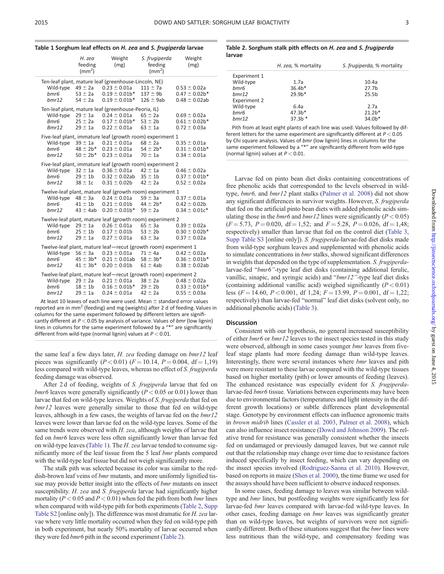<span id="page-3-0"></span>

| Table 1 Sorghum leaf effects on H. zea and S. frugiperda larvae |  |  |  |  |  |  |  |
|-----------------------------------------------------------------|--|--|--|--|--|--|--|
|-----------------------------------------------------------------|--|--|--|--|--|--|--|

|                                                                 | H. zea<br>feeding<br>$\text{m}^2$ )                     | Weight<br>(mg)                                                                                                                 | S. frugiperda<br>feeding<br>$\text{m}^2$ )  | Weight<br>(mg)                                              |  |  |
|-----------------------------------------------------------------|---------------------------------------------------------|--------------------------------------------------------------------------------------------------------------------------------|---------------------------------------------|-------------------------------------------------------------|--|--|
| bmr6                                                            | Wild-type $49 \pm 2a$<br>$53 \pm 2a$                    | Ten-leaf plant, mature leaf (greenhouse-Lincoln, NE)<br>$0.23 \pm 0.01$ a<br>$0.19 \pm 0.01$ b*                                | $111 \pm 7a$<br>$137 \pm 9b$                | $0.53 \pm 0.02a$<br>$0.47 \pm 0.02b*$                       |  |  |
| bmr12                                                           | $54 \pm 2a$                                             | $0.19 \pm 0.01$ b*                                                                                                             | $126 \pm 9ab$                               | $0.48 \pm 0.02$ ab                                          |  |  |
| Bmr6                                                            | $25 \pm 2a$                                             | Ten-leaf plant, mature leaf (greenhouse-Peoria, IL)<br>Wild-type $29 \pm 1a$ 0.24 $\pm$ 0.01a<br>$0.17 \pm 0.01b^{*}$          | $65 \pm 2a$<br>$53 \pm 2b$                  | $0.69 \pm 0.02a$<br>$0.61 \pm 0.02b*$                       |  |  |
| Bmr12                                                           | $29 \pm 1a$                                             | $0.22 \pm 0.01$ a                                                                                                              | $63 \pm 1a$                                 | $0.72 \pm 0.03a$                                            |  |  |
| bmr6<br>bmr12                                                   | Wild-type $39 \pm 1$ a<br>$48 \pm 2b^*$<br>$50 \pm 2b*$ | Five-leaf plant, immature leaf (growth room) experiment 1<br>$0.21 \pm 0.01$ a<br>$0.23 \pm 0.01$ a<br>$0.23 \pm 0.01$ a       | $68 \pm 2a$<br>$54 \pm 2b*$<br>$70 \pm 1a$  | $0.35 \pm 0.01a$<br>$0.31 \pm 0.01b*$<br>$0.34 \pm 0.01a$   |  |  |
| Five-leaf plant, immature leaf (growth room) experiment 2       |                                                         |                                                                                                                                |                                             |                                                             |  |  |
| bmr6<br>bmr12                                                   | Wild-type $32 \pm 1$ a<br>$29 \pm 1b$<br>$38 \pm 1c$    | $0.36 \pm 0.01$ a<br>$0.32 \pm 0.02$ ab<br>$0.31 \pm 0.02$ b                                                                   | $42 \pm 1a$<br>$35 \pm 1$ b<br>$42 \pm 2a$  | $0.46 \pm 0.02a$<br>$0.37 \pm 0.01b*$<br>$0.52 \pm 0.02a$   |  |  |
| bmr6                                                            | Wild-type $48 \pm 3a$<br>$41 \pm 1b$                    | Twelve-leaf plant, mature leaf (growth room) experiment 1<br>$0.24 \pm 0.01$ a<br>$0.21 \pm 0.01b$ $44 \pm 2b^*$               | $59 \pm 3a$                                 | $0.37 \pm 0.01a$<br>$0.42 \pm 0.02b$                        |  |  |
| bmr12                                                           | $43 \pm 4$ ab                                           | $0.20 \pm 0.01$ b <sup>*</sup> 59 $\pm$ 2a                                                                                     |                                             | $0.34 \pm 0.01c^*$                                          |  |  |
| bmr6<br>bmr12                                                   | Wild-type $29 \pm 1$ a<br>$25 \pm 1$ b<br>$29 \pm 1a$   | Twelve-leaf plant, mature leaf (growth room) experiment 2<br>$0.26 \pm 0.01$ a<br>$0.17 \pm 0.01$ b<br>$0.27 \pm 0.01a$        | $65 \pm 3a$<br>$53 \pm 2b$<br>$63 \pm 3a$   | $0.39 \pm 0.02a$<br>$0.30 \pm 0.02b*$<br>$0.37 \pm 0.02a$   |  |  |
| Twelve-leaf plant, mature leaf-recut (growth room) experiment 1 |                                                         |                                                                                                                                |                                             |                                                             |  |  |
| bmr6<br>bmr12                                                   | Wild-type $56 \pm 3a$<br>$45 \pm 3b*$<br>$41 \pm 3b*$   | $0.23 \pm 0.01a$<br>$0.21 \pm 0.01$ ab<br>$0.20 \pm 0.01$ b                                                                    | $71 \pm 4a$<br>$58 \pm 3b*$<br>$61 \pm 4ab$ | $0.42 \pm 0.02a$<br>$0.36 \pm 0.01b*$<br>$0.38 \pm 0.02$ ab |  |  |
| Wild-type<br>bmr6<br>bmr12                                      | $29 \pm 2a$<br>$18 \pm 1b$<br>$29 \pm 1a$               | Twelve-leaf plant, mature leaf-recut (growth room) experiment 2<br>$0.21 \pm 0.01$ a<br>$0.16 \pm 0.01b*$<br>$0.24 \pm 0.01$ a | $38 \pm 2a$<br>$29 \pm 2b$<br>$42 \pm 2a$   | $0.48 \pm 0.02a$<br>$0.33 \pm 0.01b*$<br>$0.55 \pm 0.03a$   |  |  |
|                                                                 |                                                         |                                                                                                                                |                                             |                                                             |  |  |

At least 10 leaves of each line were used. Mean  $\pm$  standard error values reported are in  $mm<sup>2</sup>$  (feeding) and mg (weights) after 2 d of feeding. Values in columns for the same experiment followed by different letters are significantly different at  $P < 0.05$  by analysis of variance. Values of bmr (low lignin) lines in columns for the same experiment followed by a "\*" are significantly different from wild-type (normal lignin) values at  $P < 0.01$ .

the same leaf a few days later, H. zea feeding damage on  $bm/2$  leaf pieces was significantly  $(P < 0.01)$   $(F = 10.14, P = 0.004, df = 1,19)$ less compared with wild-type leaves, whereas no effect of S. frugiperda feeding damage was observed.

After 2d of feeding, weights of S. frugiperda larvae that fed on *bmr6* leaves were generally significantly ( $P < 0.05$  or 0.01) lower than larvae that fed on wild-type leaves. Weights of S. frugiperda that fed on bmr12 leaves were generally similar to those that fed on wild-type leaves, although in a few cases, the weights of larvae fed on the bmr12 leaves were lower than larvae fed on the wild-type leaves. Some of the same trends were observed with H. zea, although weights of larvae that fed on bmr6 leaves were less often significantly lower than larvae fed on wild-type leaves (Table 1). The H. zea larvae tended to consume significantly more of the leaf tissue from the 5 leaf bmr plants compared with the wild-type leaf tissue but did not weigh significantly more.

The stalk pith was selected because its color was similar to the reddish-brown leaf veins of *bmr* mutants, and more uniformly lignified tissue may provide better insight into the effects of *bmr* mutants on insect susceptibility. H. zea and S. frugiperda larvae had significantly higher mortality ( $P < 0.05$  and  $P < 0.01$ ) when fed the pith from both *bmr* lines when compared with wild-type pith for both experiments (Table 2, [Supp](http://jinsectscience.oxfordjournals.org/lookup/suppl/doi:10.1093/jisesa/ieu162/-/DC1) [Table S2](http://jinsectscience.oxfordjournals.org/lookup/suppl/doi:10.1093/jisesa/ieu162/-/DC1) [online only]). The difference was most dramatic for H. zea larvae where very little mortality occurred when they fed on wild-type pith in both experiment, but nearly 50% mortality of larvae occurred when they were fed  $bmr6$  pith in the second experiment (Table 2).

Table 2. Sorghum stalk pith effects on H. zea and S. frugiperda larvae

|              | H. zea, % mortality | S. frugiperda, % mortality |
|--------------|---------------------|----------------------------|
| Experiment 1 |                     |                            |
| Wild-type    | 1.7a                | 10.4a                      |
| bmr6         | $36.4*$             | 27.7 <sub>b</sub>          |
| bmr12        | $29.9h*$            | 25.5 <sub>b</sub>          |
| Experiment 2 |                     |                            |
| Wild-type    | 6.4a                | 2.7a                       |
| bmr6         | $47.3b*$            | $21.2*$                    |
| bmr12        | $37.3b*$            | 34.0b*                     |
|              |                     |                            |

Pith from at least eight plants of each line was used. Values followed by different letters for the same experiment are significantly different at  $P < 0.05$ by Chi square analysis. Values of bmr (low lignin) lines in columns for the same experiment followed by a "\*" are significantly different from wild-type (normal lignin) values at  $P < 0.01$ .

Larvae fed on pinto bean diet disks containing concentrations of free phenolic acids that corresponded to the levels observed in wildtype, bmr6, and bmr12 plant stalks ([Palmer et al. 2008](#page-5-0)) did not show any significant differences in survivor weights. However, S. frugiperda that fed on the artificial pinto bean diets with added phenolic acids simulating those in the *bmr6* and *bmr12* lines were significantly ( $P < 0.05$ )  $(F = 5.73, P = 0.020, df = 1.52; and F = 5.28, P = 0.026, df = 1.48;$ respectively) smaller than larvae that fed on the control diet ([Table 3,](#page-4-0) [Supp Table S3](http://jinsectscience.oxfordjournals.org/lookup/suppl/doi:10.1093/jisesa/ieu162/-/DC1) [online only]). S. frugiperda-larvae-fed diet disks made from wild-type sorghum leaves and supplemented with phenolic acids to simulate concentrations in bmr stalks, showed significant differences in weights that depended on the type of supplementation. S. frugiperdalarvae-fed "bmr6"-type leaf diet disks (containing additional ferulic, vanillic, sinapic, and syringic acids) and "bmr12"-type leaf diet disks (containing additional vanillic acid) weighed significantly  $(P < 0.01)$ less ( $F = 14.60$ ,  $P < 0.001$ , df 1,24;  $F = 13.99$ ,  $P = 0.001$ , df = 1,22; respectively) than larvae-fed "normal" leaf diet disks (solvent only, no additional phenolic acids) ([Table 3\)](#page-4-0).

## **Discussion**

Consistent with our hypothesis, no general increased susceptibility of either bmr6 or bmr12 leaves to the insect species tested in this study were observed, although in some cases younger *bmr* leaves from fiveleaf stage plants had more feeding damage than wild-type leaves. Interestingly, there were several instances where bmr leaves and pith were more resistant to these larvae compared with the wild-type tissues based on higher mortality (pith) or lower amounts of feeding (leaves). The enhanced resistance was especially evident for S. frugiperdalarvae-fed bmr6 tissue. Variations between experiments may have been due to environmental factors (temperatures and light intensity in the different growth locations) or subtle differences plant developmental stage. Genotype by environment effects can influence agronomic traits in brown midrib lines ([Cassler et al. 2003](#page-5-0), [Palmer et al. 2008](#page-5-0)), which can also influence insect resistance [\(Dowd and Johnson 2009\)](#page-5-0). The relative trend for resistance was generally consistent whether the insects fed on undamaged or previously damaged leaves, but we cannot rule out that the relationship may change over time due to resistance factors induced specifically by insect feeding, which can vary depending on the insect species involved [\(Rodriguez-Saona et al. 2010\)](#page-5-0). However, based on reports in maize [\(Shen et al. 2000](#page-5-0)), the time frame we used for the assays should have been sufficient to observe induced responses.

In some cases, feeding damage to leaves was similar between wildtype and bmr lines, but postfeeding weights were significantly less for larvae-fed bmr leaves compared with larvae-fed wild-type leaves. In other cases, feeding damage on bmr leaves was significantly greater than on wild-type leaves, but weights of survivors were not significantly different. Both of these situations suggest that the *bmr* lines were less nutritious than the wild-type, and compensatory feeding was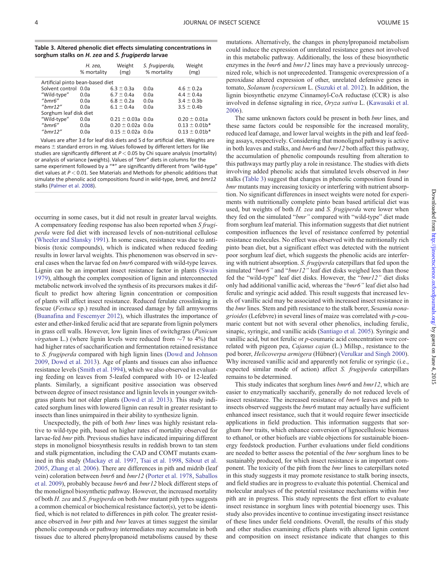## <span id="page-4-0"></span>Table 3. Altered phenolic diet effects simulating concentrations in sorghum stalks on H. zea and S. frugiperda larvae

|                                  | H. zea,<br>% mortality | Weight<br>(mg)        | S. frugiperda,<br>% mortality | Weight<br>(mg)                 |  |  |
|----------------------------------|------------------------|-----------------------|-------------------------------|--------------------------------|--|--|
| Artificial pinto bean-based diet |                        |                       |                               |                                |  |  |
| Solvent control 0.0a             |                        | $6.3 \pm 0.3a$        | 0.0a                          | $4.6 \pm 0.2a$                 |  |  |
| "Wild-type"                      | 0.0a                   | $6.7 \pm 0.4a$        | 0.0a                          | $4.4 \pm 0.4a$                 |  |  |
| "bmr6"                           | 0.0a                   | $6.8 \pm 0.2a$        | 0.0a                          | $3.4 \pm 0.3$ b                |  |  |
| " $bmr12$ "                      | 0.0a                   | $6.1 \pm 0.4a$        | 0.0a                          | $3.5 \pm 0.4$                  |  |  |
| Sorghum leaf disk diet           |                        |                       |                               |                                |  |  |
| "Wild-type"                      | 0.0a                   | $0.21 \pm 0.03a$ 0.0a |                               | $0.20 \pm 0.01a$               |  |  |
| "bmr6"                           | 0.0a                   | $0.20 \pm 0.02a$ 0.0a |                               | $0.13 \pm 0.01$ b*             |  |  |
| " $bmr12$ "                      | 0.0a                   | $0.15 \pm 0.02a$ 0.0a |                               | $0.13 \pm 0.01$ b <sup>*</sup> |  |  |

Values are after 3 d for leaf disk diets and 5 d for artificial diet. Weights are means  $\pm$  standard errors in mg. Values followed by different letters for like studies are significantly different at  $P < 0.05$  by Chi square analysis (mortality) or analysis of variance (weights). Values of "bmr" diets in columns for the same experiment followed by a "\*" are significantly different from "wild-type" diet values at  $P < 0.01$ . See Materials and Methods for phenolic additions that simulate the phenolic acid compositions found in wild-type, bmr6, and bmr12 stalks [\(Palmer et al. 2008](#page-5-0)).

occurring in some cases, but it did not result in greater larval weights. A compensatory feeding response has also been reported when S frugiperda were fed diet with increased levels of non-nutritional cellulose ([Wheeler and Slansky 1991](#page-5-0)). In some cases, resistance was due to antibiosis (toxic compounds), which is indicated when reduced feeding results in lower larval weights. This phenomenon was observed in several cases when the larvae fed on  $bmr6$  compared with wild-type leaves. Lignin can be an important insect resistance factor in plants ([Swain](#page-5-0) [1979\)](#page-5-0), although the complex composition of lignin and interconnected metabolic network involved the synthesis of its precursors makes it difficult to predict how altering lignin concentration or composition of plants will affect insect resistance. Reduced ferulate crosslinking in fescue (Festuca sp.) resulted in increased damage by fall armyworms ([Buanafina and Fescemyer 2012\)](#page-5-0), which illustrates the importance of ester and ether-linked ferulic acid that are separate from lignin polymers in grass cell walls. However, low lignin lines of switchgrass (Panicum *virgatum* L.) (where lignin levels were reduced from  $\sim$ 7 to 4%) that had higher rates of saccharification and fermentation retained resistance to S. frugiperda compared with high lignin lines ([Dowd and Johnson](#page-5-0) [2009,](#page-5-0) [Dowd et al. 2013\)](#page-5-0). Age of plants and tissues can also influence resistance levels [\(Smith et al. 1994\)](#page-5-0), which we also observed in evaluating feeding on leaves from 5-leafed compared with 10- or 12-leafed plants. Similarly, a significant positive association was observed between degree of insect resistance and lignin levels in younger switchgrass plants but not older plants [\(Dowd et al. 2013](#page-5-0)). This study indicated sorghum lines with lowered lignin can result in greater resistant to insects than lines unimpaired in their ability to synthesize lignin.

Unexpectedly, the pith of both bmr lines was highly resistant relative to wild-type pith, based on higher rates of mortality observed for larvae-fed bmr pith. Previous studies have indicated impairing different steps in monolignol biosynthesis results in reddish brown to tan stem and stalk pigmentation, including the CAD and COMT mutants examined in this study ([Mackay et al. 1997](#page-5-0), [Tsai et al. 1998](#page-5-0), [Sibout et al.](#page-5-0) [2005,](#page-5-0) [Zhang et al. 2006\)](#page-5-0). There are differences in pith and midrib (leaf vein) coloration between bmr6 and bmr12 ([Porter et al. 1978](#page-5-0), [Saballos](#page-5-0) [et al. 2009](#page-5-0)), probably because bmr6 and bmr12 block different steps of the monolignol biosynthetic pathway. However, the increased mortality of both H. zea and S. frugiperda on both bmr mutant pith types suggests a common chemical or biochemical resistance factor(s), yet to be identified, which is not related to differences in pith color. The greater resistance observed in *bmr* pith and *bmr* leaves at times suggest the similar phenolic compounds or pathway intermediates may accumulate in both tissues due to altered phenylpropanoid metabolisms caused by these

mutations. Alternatively, the changes in phenylpropanoid metabolism could induce the expression of unrelated resistance genes not involved in this metabolic pathway. Additionally, the loss of these biosynthetic enzymes in the *bmr6* and *bmr12* lines may have a previously unrecognized role, which is not unprecedented. Transgenic overexpression of a peroxidase altered expression of other, unrelated defensive genes in tomato, Solanum lycopersicum L. ([Suzuki et al. 2012](#page-5-0)). In addition, the lignin biosynthetic enzyme Cinnamoyl-CoA reductase (CCR) is also involved in defense signaling in rice, Oryza sativa L. ([Kawasaki et al.](#page-5-0) [2006](#page-5-0)).

The same unknown factors could be present in both *bmr* lines, and these same factors could be responsible for the increased morality, reduced leaf damage, and lower larval weights in the pith and leaf feeding assays, respectively. Considering that monolignol pathway is active in both leaves and stalks, and  $bmr6$  and  $bmr12$  both affect this pathway, the accumulation of phenolic compounds resulting from alteration to this pathways may partly play a role in resistance. The studies with diets involving added phenolic acids that simulated levels observed in bmr stalks (Table 3) suggest that changes in phenolic composition found in bmr mutants may increasing toxicity or interfering with nutrient absorption. No significant differences in insect weights were noted for experiments with nutritionally complete pinto bean based artificial diet was used, but weights of both H. zea and S. frugiperda were lower when they fed on the simulated "bmr" compared with "wild-type" diet made from sorghum leaf material. This information suggests that diet nutrient composition influences the level of resistance conferred by potential resistance molecules. No effect was observed with the nutritionally rich pinto bean diet, but a significant effect was detected with the nutrient poor sorghum leaf diet, which suggests the phenolic acids are interfering with nutrient absorption. S. frugiperda caterpillars that fed upon the simulated "bmr6" and "bmr12" leaf diet disks weighed less than those fed the "wild-type" leaf diet disks. However, the "bmr12" diet disks only had additional vanillic acid, whereas the "bmr6" leaf diet also had ferulic and syringic acid added. This result suggests that increased levels of vanillic acid may be associated with increased insect resistance in the *bmr* lines. Stem and pith resistance to the stalk borer, Sesamia nonagrioides (Lefebvre) in several lines of maize was correlated with p-coumaric content but not with several other phenolics, including ferulic, sinapic, syringic, and vanillic acids [\(Santiago et al. 2005\)](#page-5-0). Syringic and vanillic acid, but not ferulic or p-coumaric acid concentration were correlated with pigeon pea, Cajanus cajan (L.) Millsp., resistance to the pod borer, Helicoverpa armigera (Hübner) ([Verulkar and Singh 2000\)](#page-5-0). Why increased vanillic acid and apparently not ferulic or syringic (i.e., expected similar mode of action) affect S. frugiperda caterpillars remains to be determined.

This study indicates that sorghum lines  $bmr6$  and  $bmr12$ , which are easier to enzymatically saccharify, generally do not reduced levels of insect resistance. The increased resistance of bmr6 leaves and pith to insects observed suggests the *bmr6* mutant may actually have sufficient enhanced insect resistance, such that it would require fewer insecticide applications in field production. This information suggests that sorghum bmr traits, which enhance conversion of lignocellulosic biomass to ethanol, or other biofuels are viable objections for sustainable bioenergy feedstock production. Further evaluations under field conditions are needed to better assess the potential of the bmr sorghum lines to be sustainably produced, for which insect resistance is an important component. The toxicity of the pith from the bmr lines to caterpillars noted in this study suggests it may promote resistance to stalk boring insects, and field studies are in progress to evaluate this potential. Chemical and molecular analyses of the potential resistance mechanisms within *bmr* pith are in progress. This study represents the first effort to evaluate insect resistance in sorghum lines with potential bioenergy uses. This study also provides incentive to continue investigating insect resistance of these lines under field conditions. Overall, the results of this study and other studies examining effects plants with altered lignin content and composition on insect resistance indicate that changes to this